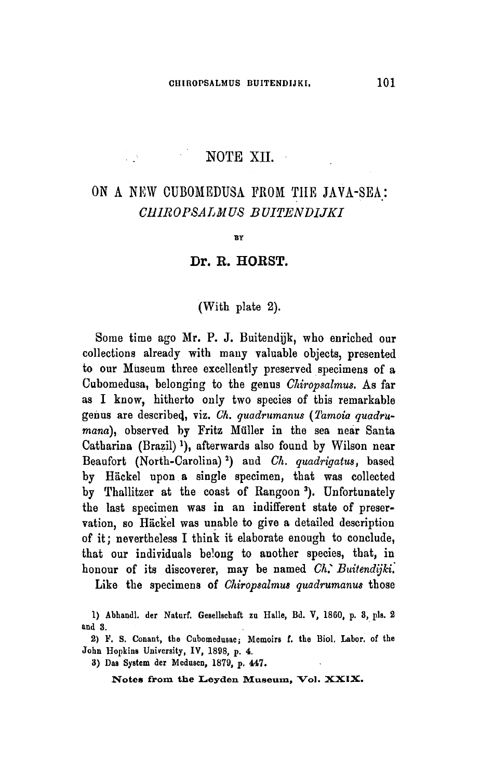## NOTE XII.

 $\mathcal{L}(\mathcal{L}) = \mathcal{L}(\mathcal{L})$ 

# On <sup>a</sup> new Cubomedusa from the Java-Sea: Chiropsalmus Buitendijki

**BY** 

#### Dr. R. HORST.

### (With plate 2).

Some time ago Mr. P. J. Buitendijk, who enriched our collections already with many valuable objects, presented to our Museum three excellently preserved specimens of a Cubomedusa, belonging to the genus Chiropsalmus. As far as I know, hitherto only two species of this remarkable genus are described, viz. Ch. quadrumanus (Tamoia quadrumana), observed by Fritz Müller in the sea near Santa Catharina (Brazil)<sup>1</sup>), afterwards also found by Wilson near Beaufort (North-Carolina)²) and Ch. quadrigatus, based by Häckel upon <sup>a</sup> single specimen, that was collected by Thallitzer at the coast of Rangoon<sup>3</sup>). Unfortunately the last specimen was in an indifferent state of preservation, so Häckel was unable to give a detailed description of it; nevertheless I think it elaborate enough to conclude, that our individuals belong to another species, that, in honour of its discoverer, may be named Ch. Buitendijki.

Like the specimens of Chiropsalmus quadrumanus those

3) Das System der Mcdusen, 1879, p. 447.

<sup>1)</sup> Abhandl. der Naturf. Gesellscbaft zu Halle, Bd. V, 18G0, p. 3, pis. <sup>2</sup> and 3.

<sup>2)</sup> F. S. Conant, the Cubomedusae; Memoirs f. the Biol. Labor. of the John Hopkins University, IV, 1898, p. 4.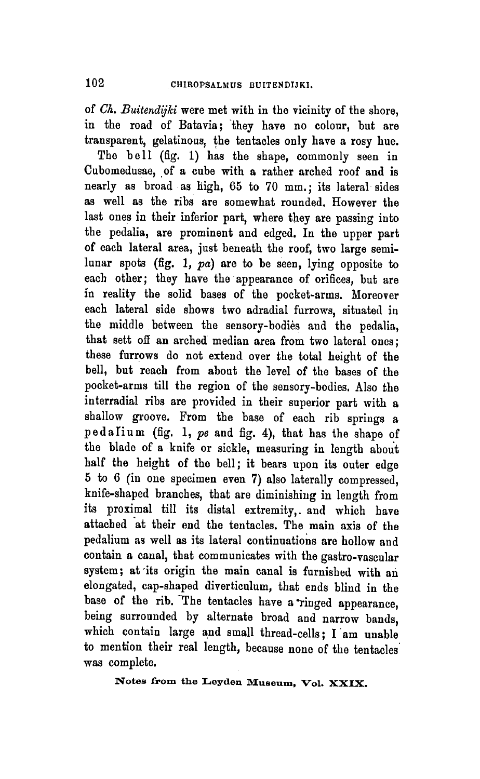of Ch. Buitendijki were met with in the vicinity of the shore, in the road of Batavia; they have no colour, but are transparent, gelatinous, the tentacles only have <sup>a</sup> rosy hue.

The bell (fig. 1) has the shape, commonly seen in Cubomedusae, of a cube with <sup>a</sup> rather arched roof and is nearly as broad as high, 65 to 70 mm.; its lateral sides as well as the ribs are somewhat rounded. However the last ones in their inferior part, where they are passing into the pedalia, are prominent and edged. In the upper part of each lateral area, just beneath the roof, two large semilunar spots (fig. 1, pa) are to be seen, lying opposite to each other; they have the appearance of orifices, but are in reality the solid bases of the pocket-arms. Moreover each lateral side shows two adradial furrows, situated in the middle between the sensory-bodies and the pedalia, that sett off an arched median area from two lateral ones; these furrows do not extend over the total height of the bell, but reach from about the level of the bases of the pocket-arms till the region of the sensory-bodies. Also the interradial ribs are provided in their superior part with <sup>a</sup> shallow groove. From the base of each rib springs <sup>a</sup> pedalium (fig. 1, pe and fig. 4), that has the shape of the blade of <sup>a</sup> knife or sickle, measuring in length about half the height of the bell; it bears upon its outer edge <sup>5</sup> to <sup>6</sup> (in one specimen even 7) also laterally compressed, knife-shaped branches, that are diminishing in length from its proximal till its distal extremity,, and which have attached at their end the tentacles. The main axis of the pedalium as well as its lateral continuations are hollow and contain <sup>a</sup> canal, that communicates with the gastro-vascular system; at its origin the main canal is furnished with an elongated, cap-shaped diverticulum, that ends blind in the base of the rib. The tentacles have a ringed appearance, being surrounded by alternate broad and narrow bands, which contain large and small thread-cells; I am unable to mention their real length, because none of the tentacles was complete.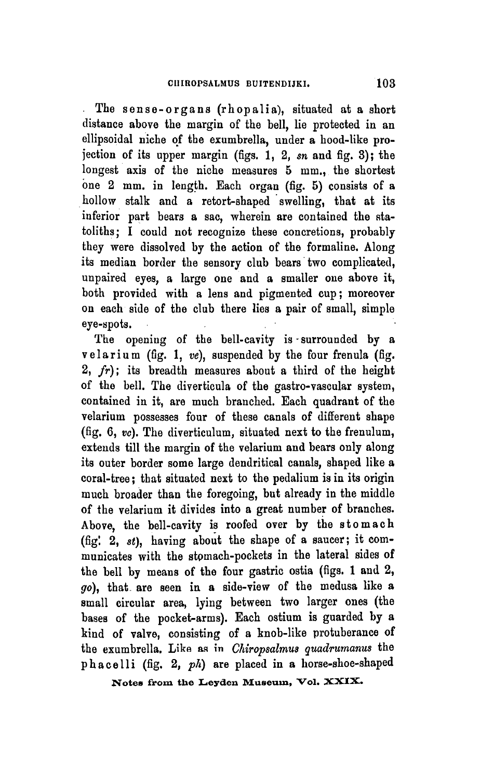The sense-organs (rh op alia), situated at a short distance above the margin of the bell, lie protected in an ellipsoidal niche of the exumbrella, under <sup>a</sup> hood-like projection of its upper margin (figs.  $1, 2$ , sn and fig. 3); the longest axis of the niche measures <sup>5</sup> mm., the shortest one <sup>2</sup> mm. in length. Each organ (fig. 5) consists of <sup>a</sup> hollow stalk and <sup>a</sup> retort-shaped swelling, that at its inferior part bears a sac, wherein are contained the statoliths; I could not recognize these concretions, probably they were dissolved by the action of the formaline. Along its median border the sensory club bears two complicated, unpaired eyes, a large one and a smaller one above it, both provided with <sup>a</sup> lens and pigmented cup; moreover on each side of the club there lies <sup>a</sup> pair of small, simple eye-spots.

The opening of the bell-cavity is surrounded by a velarium (fig. 1,  $ve$ ), suspended by the four frenula (fig.  $2, fr$ ; its breadth measures about a third of the height of the bell. The diverticula of the gastro-vascular system, contained in it, are much brauched. Each quadrant of the velarium possesses four of these canals of different shape (fig. 6,  $vc$ ). The diverticulum, situated next to the frenulum, extends till the margin of the velarium and bears only along its outer border some large dendritical canals, shaped like <sup>a</sup> coral-tree ; that situated next to the pedalium is in its origin much broader than the foregoing, but already in the middle of the velarium it divides into <sup>a</sup> great number of branches. Above, the bell-cavity is roofed over by the stomach (fig! 2,  $st$ ), having about the shape of a saucer; it communicates with the stomach-pockets in the lateral sides of the bell by means of the four gastric ostia (figs. <sup>1</sup> and 2, go), that are seen in <sup>a</sup> side-view of the medusa like <sup>a</sup> small circular area, lying between two larger ones (the bases of the pocket-arms). Each ostium is guarded by <sup>a</sup> kind of valve, consisting of a knob-like protuberance of the exumbrella. Like as in Chiropsalmus quadrumanus the phacelli (fig. 2,  $ph$ ) are placed in a horse-shoe-shaped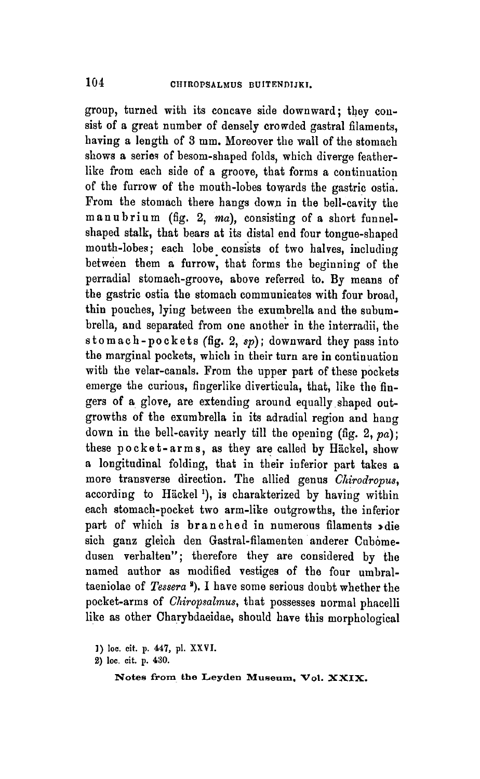group, turned with its concave side downward; they consist of <sup>a</sup> great number of densely crowded gastral filaments, having <sup>a</sup> length of 3 mm. Moreover the wall of the stomach shows <sup>a</sup> series of besom-shaped folds, which diverge featherlike from each side of <sup>a</sup> groove, that forms <sup>a</sup> continuation of the furrow of the mouth-lobes towards the gastric ostia. From the stomach there hangs down in the bell-cavity the manubrium (fig. 2, ma), consisting of a short funnelshaped stalk, that bears at its distal end four tongue-shaped mouth-lobes; each lobe consists of two halves, including between them <sup>a</sup> furrow, that forms the beginning of the perradial stomach-groove, above referred to. By means of the gastric ostia the stomach communicates with four broad, thin pouches, lying between the exumbrella and the subumbrella, and separated from one another in the interradii, the stomach-pockets (fig. 2,  $sp$ ); downward they pass into the marginal pockets, which in their turn are in continuation with the velar-canals. From the upper part of these pockets emerge the curious, fingerlike diverticula, that, like the fingers of <sup>a</sup> glove, are extending around equally shaped outgrowths of the exumbrella in its adradial region and hang down in the bell-cavity nearly till the opening (fig.  $2, pa$ ); these pocket-arms, as they are called by Hackel, show a longitudinal folding, that in their inferior part takes <sup>a</sup> more transverse direction. The allied genus Chirodropus, according to Häckel<sup>1</sup>), is charakterized by having within each stomach-pocket two arm-like outgrowths, the inferior part of which is branched in numerous filaments »die sich ganz gleich den Gastral-filamenten anderer Cubomedusen verhalten"; therefore they are considered by the named author as modified vestiges of the four umbraltaeniolae of  $Tessera$ <sup>3</sup>). I have some serious doubt whether the pocket-arms of *Chiropsalmus*, that possesses normal phacelli like as other Charybdaeidae, should have this morphological

<sup>])</sup> loc. cit. p. 447, pi. XXVI.

<sup>2)</sup> loc. cit. p. 430.

Notes from the Leyden Museum. Vol. XXIX.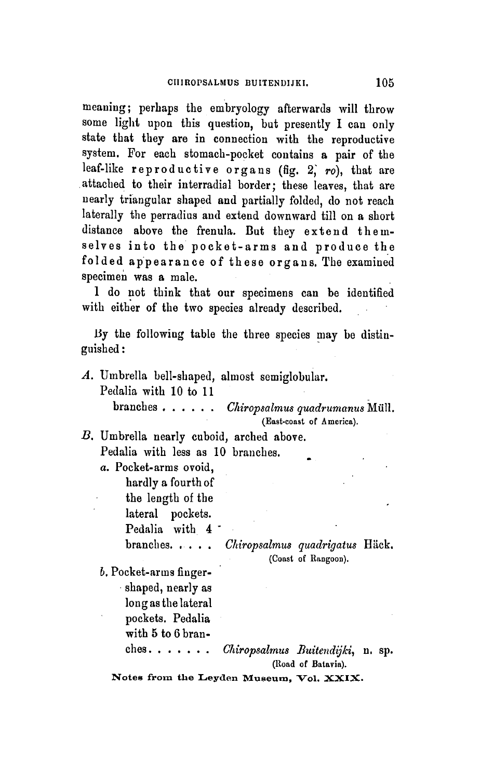meaning; perhaps the embryology afterwards will throw some light upon this question, but presently I can only state that they are in connection with the reproductive system. For each stomach-pocket contains <sup>a</sup> pair of the leaf-like reproductive organs (fig. 2, ro), that are attached to their interradial border; these leaves, that are nearly triangular shaped and partially folded, do not reach laterally the perradius and extend downward till on <sup>a</sup> short distance above the frenula. But they extend themselves into the pocket-arms and produce the fol ded appearance of these organs. The examined specimen was a male.

<sup>1</sup> do not think that our specimens can be identified with either of the two species already described.

By the following table the three species may be distinguished :

A. Umbrella bell-shaped, almost semiglobular. Pedalia with 10 to 11  $branches \ldots \ldots$  *Chiropsalmus quadrumanus* Müll. (Eaat-coast of America). B. Umbrella nearly cuboid, arched above. Pedalia with less as 10 branches. a. Pocket-arms ovoid, hardly a fourthof the length of the lateral pockets. Pedalia with 4 branches. . . . . Chiropsalmus quadrigatus Häck. (Coast of Rangoon). b. Pocket-arms fingershaped, nearly as long as the lateral pockets. Pedalia with 5 to 6 bran $ches. \ldots.$  Chiropsalmus Buitendijki, n. sp.

(Road of Batavia).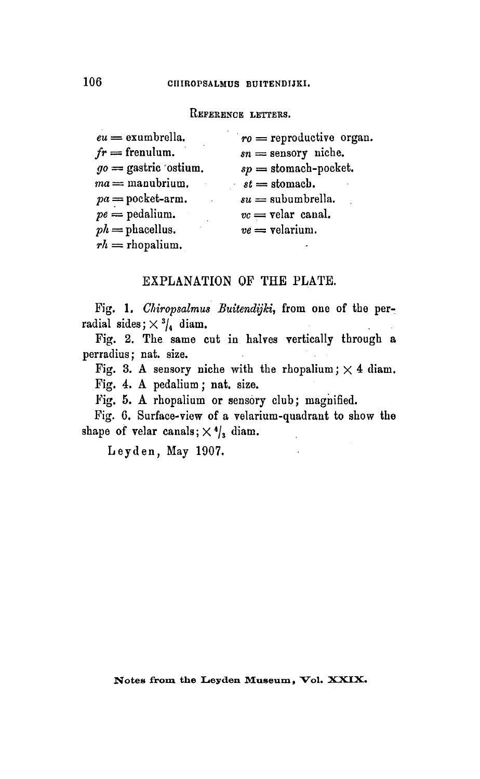#### REFERENCE LETTERS.

| $eu =$ exumbrella.      | $ro = \text{reproductive organ.}$ |
|-------------------------|-----------------------------------|
| $fr =$ frenulum.        | $sn =$ sensory niche.             |
| $go =$ gastric 'ostium. | $sp =$ stomach-pocket.            |
| $ma =$ manubrium.       | $st =$ stomach.                   |
| $pa = pocket-arm.$      | $su =$ subumbrella.               |
| $pe =$ pedalium.        | $vc =$ velar canal.               |
| $ph =$ phacellus.       | $ve =$ velarium.                  |
| $rh =$ rhopalium.       |                                   |

#### EXPLANATION OF THE PLATE.

Fig. 1. Chiropsalmus Buitendijki, from one of the perradial sides;  $\times$  3/4 diam.

Fig. 2. The same cut in halves vertically through <sup>a</sup> perradius; nat. size.

Fig. 3. A sensory niche with the rhopalium;  $\times$  4 diam. Fig. 4. A pedalium ; nat. size.

Fig. 5. A rhopalium or sensory club; magnified.

Fig. 6. Surface-view of <sup>a</sup> velarium-quadrant to show the shape of velar canals;  $\times$  <sup>4</sup>/<sub>3</sub> diam.

Leyden, May 1907.